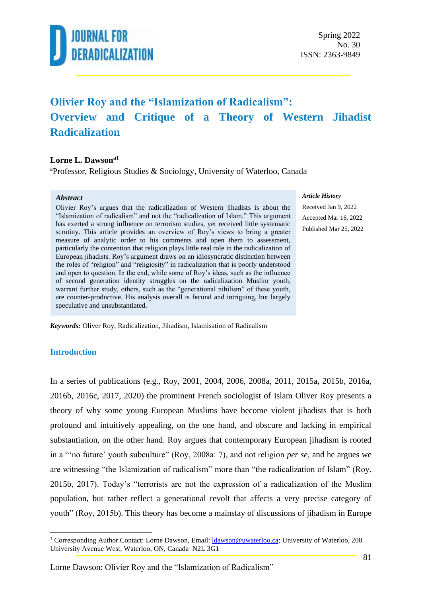

### **Olivier Roy and the "Islamization of Radicalism": Overview and Critique of a Theory of Western Jihadist Radicalization**

#### **Lorne L. Dawsona1**

<sup>a</sup>Professor, Religious Studies & Sociology, University of Waterloo, Canada

#### *Abstract*

Olivier Roy's argues that the radicalization of Western jihadists is about the "Islamization of radicalism" and not the "radicalization of Islam." This argument has exerted a strong influence on terrorism studies, yet received little systematic scrutiny. This article provides an overview of Roy's views to bring a greater measure of analytic order to his comments and open them to assessment, particularly the contention that religion plays little real role in the radicalization of European jihadists. Roy's argument draws on an idiosyncratic distinction between the roles of "religion" and "religiosity" in radicalization that is poorly understood and open to question. In the end, while some of Roy's ideas, such as the influence of second generation identity struggles on the radicalization Muslim youth, warrant further study, others, such as the "generational nihilism" of these youth, are counter-productive. His analysis overall is fecund and intriguing, but largely speculative and unsubstantiated.

#### *Article History*

Received Jan 9, 2022 Accepted Mar 16, 2022 Published Mar 25, 2022

*Keywords:* Oliver Roy, Radicalization, Jihadism, Islamisation of Radicalism

#### **Introduction**

In a series of publications (e.g., Roy, 2001, 2004, 2006, 2008a, 2011, 2015a, 2015b, 2016a, 2016b, 2016c, 2017, 2020) the prominent French sociologist of Islam Oliver Roy presents a theory of why some young European Muslims have become violent jihadists that is both profound and intuitively appealing, on the one hand, and obscure and lacking in empirical substantiation, on the other hand. Roy argues that contemporary European jihadism is rooted in a "'no future' youth subculture" (Roy, 2008a: 7), and not religion *per se*, and he argues we are witnessing "the Islamization of radicalism" more than "the radicalization of Islam" (Roy, 2015b, 2017). Today's "terrorists are not the expression of a radicalization of the Muslim population, but rather reflect a generational revolt that affects a very precise category of youth" (Roy, 2015b). This theory has become a mainstay of discussions of jihadism in Europe

<sup>&</sup>lt;sup>1</sup> Corresponding Author Contact: Lorne Dawson, Email: *Idawson@uwaterloo.ca*; University of Waterloo, 200 University Avenue West, Waterloo, ON, Canada N2L 3G1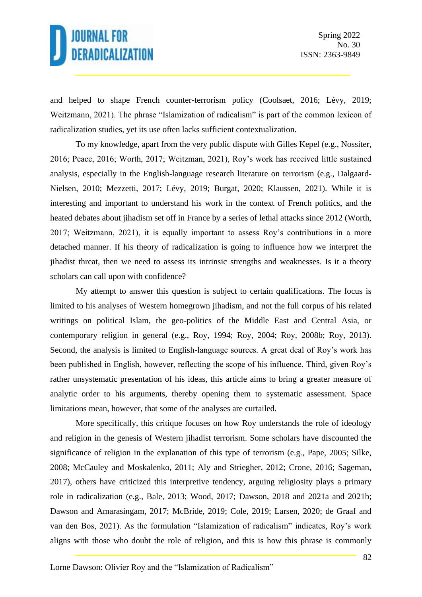and helped to shape French counter-terrorism policy (Coolsaet, 2016; Lévy, 2019; Weitzmann, 2021). The phrase "Islamization of radicalism" is part of the common lexicon of radicalization studies, yet its use often lacks sufficient contextualization.

To my knowledge, apart from the very public dispute with Gilles Kepel (e.g., Nossiter, 2016; Peace, 2016; Worth, 2017; Weitzman, 2021), Roy's work has received little sustained analysis, especially in the English-language research literature on terrorism (e.g., Dalgaard-Nielsen, 2010; Mezzetti, 2017; Lévy, 2019; Burgat, 2020; Klaussen, 2021). While it is interesting and important to understand his work in the context of French politics, and the heated debates about jihadism set off in France by a series of lethal attacks since 2012 (Worth, 2017; Weitzmann, 2021), it is equally important to assess Roy's contributions in a more detached manner. If his theory of radicalization is going to influence how we interpret the jihadist threat, then we need to assess its intrinsic strengths and weaknesses. Is it a theory scholars can call upon with confidence?

My attempt to answer this question is subject to certain qualifications. The focus is limited to his analyses of Western homegrown jihadism, and not the full corpus of his related writings on political Islam, the geo-politics of the Middle East and Central Asia, or contemporary religion in general (e.g., Roy, 1994; Roy, 2004; Roy, 2008b; Roy, 2013). Second, the analysis is limited to English-language sources. A great deal of Roy's work has been published in English, however, reflecting the scope of his influence. Third, given Roy's rather unsystematic presentation of his ideas, this article aims to bring a greater measure of analytic order to his arguments, thereby opening them to systematic assessment. Space limitations mean, however, that some of the analyses are curtailed.

More specifically, this critique focuses on how Roy understands the role of ideology and religion in the genesis of Western jihadist terrorism. Some scholars have discounted the significance of religion in the explanation of this type of terrorism (e.g., Pape, 2005; Silke, 2008; McCauley and Moskalenko, 2011; Aly and Striegher, 2012; Crone, 2016; Sageman, 2017), others have criticized this interpretive tendency, arguing religiosity plays a primary role in radicalization (e.g., Bale, 2013; Wood, 2017; Dawson, 2018 and 2021a and 2021b; Dawson and Amarasingam, 2017; McBride, 2019; Cole, 2019; Larsen, 2020; de Graaf and van den Bos, 2021). As the formulation "Islamization of radicalism" indicates, Roy's work aligns with those who doubt the role of religion, and this is how this phrase is commonly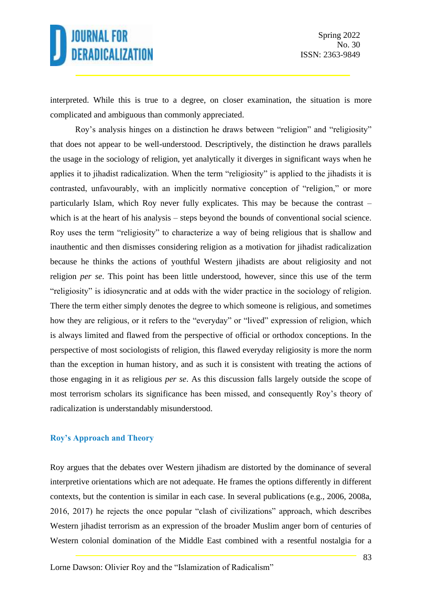interpreted. While this is true to a degree, on closer examination, the situation is more complicated and ambiguous than commonly appreciated.

Roy's analysis hinges on a distinction he draws between "religion" and "religiosity" that does not appear to be well-understood. Descriptively, the distinction he draws parallels the usage in the sociology of religion, yet analytically it diverges in significant ways when he applies it to jihadist radicalization. When the term "religiosity" is applied to the jihadists it is contrasted, unfavourably, with an implicitly normative conception of "religion," or more particularly Islam, which Roy never fully explicates. This may be because the contrast – which is at the heart of his analysis – steps beyond the bounds of conventional social science. Roy uses the term "religiosity" to characterize a way of being religious that is shallow and inauthentic and then dismisses considering religion as a motivation for jihadist radicalization because he thinks the actions of youthful Western jihadists are about religiosity and not religion *per se*. This point has been little understood, however, since this use of the term "religiosity" is idiosyncratic and at odds with the wider practice in the sociology of religion. There the term either simply denotes the degree to which someone is religious, and sometimes how they are religious, or it refers to the "everyday" or "lived" expression of religion, which is always limited and flawed from the perspective of official or orthodox conceptions. In the perspective of most sociologists of religion, this flawed everyday religiosity is more the norm than the exception in human history, and as such it is consistent with treating the actions of those engaging in it as religious *per se*. As this discussion falls largely outside the scope of most terrorism scholars its significance has been missed, and consequently Roy's theory of radicalization is understandably misunderstood.

### **Roy's Approach and Theory**

Roy argues that the debates over Western jihadism are distorted by the dominance of several interpretive orientations which are not adequate. He frames the options differently in different contexts, but the contention is similar in each case. In several publications (e.g., 2006, 2008a, 2016, 2017) he rejects the once popular "clash of civilizations" approach, which describes Western jihadist terrorism as an expression of the broader Muslim anger born of centuries of Western colonial domination of the Middle East combined with a resentful nostalgia for a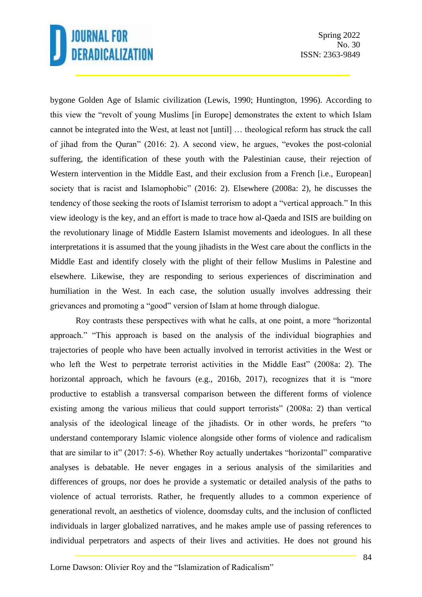bygone Golden Age of Islamic civilization (Lewis, 1990; Huntington, 1996). According to this view the "revolt of young Muslims [in Europe] demonstrates the extent to which Islam cannot be integrated into the West, at least not [until] … theological reform has struck the call of jihad from the Quran" (2016: 2). A second view, he argues, "evokes the post-colonial suffering, the identification of these youth with the Palestinian cause, their rejection of Western intervention in the Middle East, and their exclusion from a French [i.e., European] society that is racist and Islamophobic" (2016: 2). Elsewhere (2008a: 2), he discusses the tendency of those seeking the roots of Islamist terrorism to adopt a "vertical approach." In this view ideology is the key, and an effort is made to trace how al-Qaeda and ISIS are building on the revolutionary linage of Middle Eastern Islamist movements and ideologues. In all these interpretations it is assumed that the young jihadists in the West care about the conflicts in the Middle East and identify closely with the plight of their fellow Muslims in Palestine and elsewhere. Likewise, they are responding to serious experiences of discrimination and humiliation in the West. In each case, the solution usually involves addressing their grievances and promoting a "good" version of Islam at home through dialogue.

Roy contrasts these perspectives with what he calls, at one point, a more "horizontal approach." "This approach is based on the analysis of the individual biographies and trajectories of people who have been actually involved in terrorist activities in the West or who left the West to perpetrate terrorist activities in the Middle East" (2008a: 2). The horizontal approach, which he favours (e.g., 2016b, 2017), recognizes that it is "more productive to establish a transversal comparison between the different forms of violence existing among the various milieus that could support terrorists" (2008a: 2) than vertical analysis of the ideological lineage of the jihadists. Or in other words, he prefers "to understand contemporary Islamic violence alongside other forms of violence and radicalism that are similar to it" (2017: 5-6). Whether Roy actually undertakes "horizontal" comparative analyses is debatable. He never engages in a serious analysis of the similarities and differences of groups, nor does he provide a systematic or detailed analysis of the paths to violence of actual terrorists. Rather, he frequently alludes to a common experience of generational revolt, an aesthetics of violence, doomsday cults, and the inclusion of conflicted individuals in larger globalized narratives, and he makes ample use of passing references to individual perpetrators and aspects of their lives and activities. He does not ground his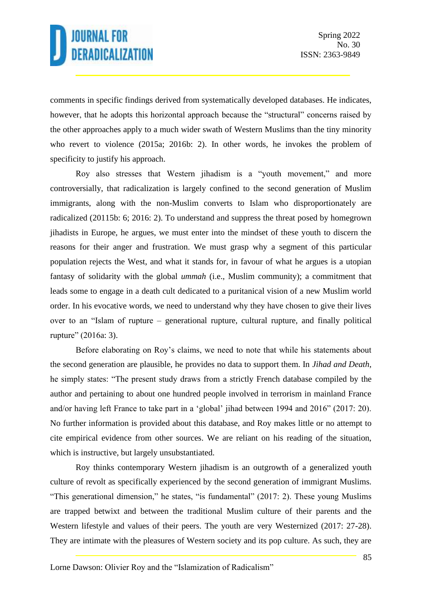comments in specific findings derived from systematically developed databases. He indicates, however, that he adopts this horizontal approach because the "structural" concerns raised by the other approaches apply to a much wider swath of Western Muslims than the tiny minority who revert to violence (2015a; 2016b: 2). In other words, he invokes the problem of specificity to justify his approach.

Roy also stresses that Western jihadism is a "youth movement," and more controversially, that radicalization is largely confined to the second generation of Muslim immigrants, along with the non-Muslim converts to Islam who disproportionately are radicalized (20115b: 6; 2016: 2). To understand and suppress the threat posed by homegrown jihadists in Europe, he argues, we must enter into the mindset of these youth to discern the reasons for their anger and frustration. We must grasp why a segment of this particular population rejects the West, and what it stands for, in favour of what he argues is a utopian fantasy of solidarity with the global *ummah* (i.e., Muslim community); a commitment that leads some to engage in a death cult dedicated to a puritanical vision of a new Muslim world order. In his evocative words, we need to understand why they have chosen to give their lives over to an "Islam of rupture – generational rupture, cultural rupture, and finally political rupture" (2016a: 3).

Before elaborating on Roy's claims, we need to note that while his statements about the second generation are plausible, he provides no data to support them. In *Jihad and Death*, he simply states: "The present study draws from a strictly French database compiled by the author and pertaining to about one hundred people involved in terrorism in mainland France and/or having left France to take part in a 'global' jihad between 1994 and 2016" (2017: 20). No further information is provided about this database, and Roy makes little or no attempt to cite empirical evidence from other sources. We are reliant on his reading of the situation, which is instructive, but largely unsubstantiated.

Roy thinks contemporary Western jihadism is an outgrowth of a generalized youth culture of revolt as specifically experienced by the second generation of immigrant Muslims. "This generational dimension," he states, "is fundamental" (2017: 2). These young Muslims are trapped betwixt and between the traditional Muslim culture of their parents and the Western lifestyle and values of their peers. The youth are very Westernized (2017: 27-28). They are intimate with the pleasures of Western society and its pop culture. As such, they are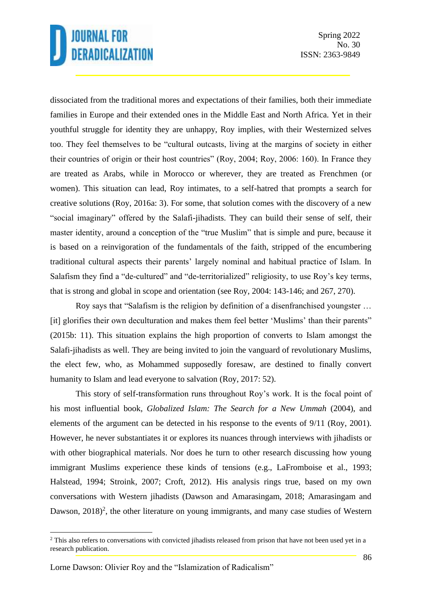Spring 2022 No. 30 ISSN: 2363-9849

dissociated from the traditional mores and expectations of their families, both their immediate families in Europe and their extended ones in the Middle East and North Africa. Yet in their youthful struggle for identity they are unhappy, Roy implies, with their Westernized selves too. They feel themselves to be "cultural outcasts, living at the margins of society in either their countries of origin or their host countries" (Roy, 2004; Roy, 2006: 160). In France they are treated as Arabs, while in Morocco or wherever, they are treated as Frenchmen (or women). This situation can lead, Roy intimates, to a self-hatred that prompts a search for creative solutions (Roy, 2016a: 3). For some, that solution comes with the discovery of a new "social imaginary" offered by the Salafi-jihadists. They can build their sense of self, their master identity, around a conception of the "true Muslim" that is simple and pure, because it is based on a reinvigoration of the fundamentals of the faith, stripped of the encumbering traditional cultural aspects their parents' largely nominal and habitual practice of Islam. In Salafism they find a "de-cultured" and "de-territorialized" religiosity, to use Roy's key terms, that is strong and global in scope and orientation (see Roy, 2004: 143-146; and 267, 270).

Roy says that "Salafism is the religion by definition of a disenfranchised youngster … [it] glorifies their own deculturation and makes them feel better 'Muslims' than their parents" (2015b: 11). This situation explains the high proportion of converts to Islam amongst the Salafi-jihadists as well. They are being invited to join the vanguard of revolutionary Muslims, the elect few, who, as Mohammed supposedly foresaw, are destined to finally convert humanity to Islam and lead everyone to salvation (Roy, 2017: 52).

This story of self-transformation runs throughout Roy's work. It is the focal point of his most influential book, *Globalized Islam: The Search for a New Ummah* (2004), and elements of the argument can be detected in his response to the events of 9/11 (Roy, 2001). However, he never substantiates it or explores its nuances through interviews with jihadists or with other biographical materials. Nor does he turn to other research discussing how young immigrant Muslims experience these kinds of tensions (e.g., LaFromboise et al., 1993; Halstead, 1994; Stroink, 2007; Croft, 2012). His analysis rings true, based on my own conversations with Western jihadists (Dawson and Amarasingam, 2018; Amarasingam and Dawson,  $2018$ <sup>2</sup>, the other literature on young immigrants, and many case studies of Western

<sup>&</sup>lt;sup>2</sup> This also refers to conversations with convicted jihadists released from prison that have not been used yet in a research publication.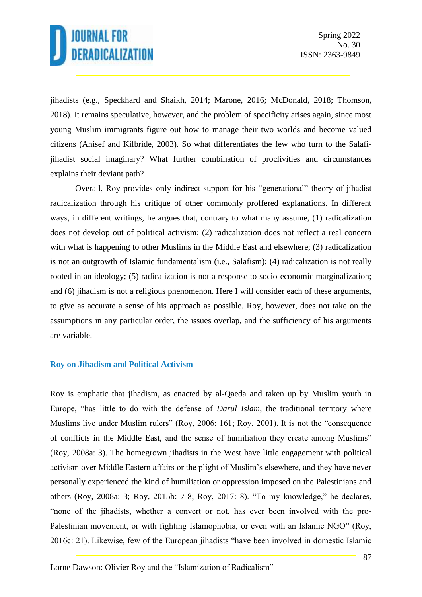jihadists (e.g., Speckhard and Shaikh, 2014; Marone, 2016; McDonald, 2018; Thomson, 2018). It remains speculative, however, and the problem of specificity arises again, since most young Muslim immigrants figure out how to manage their two worlds and become valued citizens (Anisef and Kilbride, 2003). So what differentiates the few who turn to the Salafijihadist social imaginary? What further combination of proclivities and circumstances explains their deviant path?

Overall, Roy provides only indirect support for his "generational" theory of jihadist radicalization through his critique of other commonly proffered explanations. In different ways, in different writings, he argues that, contrary to what many assume, (1) radicalization does not develop out of political activism; (2) radicalization does not reflect a real concern with what is happening to other Muslims in the Middle East and elsewhere; (3) radicalization is not an outgrowth of Islamic fundamentalism (i.e., Salafism); (4) radicalization is not really rooted in an ideology; (5) radicalization is not a response to socio-economic marginalization; and (6) jihadism is not a religious phenomenon. Here I will consider each of these arguments, to give as accurate a sense of his approach as possible. Roy, however, does not take on the assumptions in any particular order, the issues overlap, and the sufficiency of his arguments are variable.

### **Roy on Jihadism and Political Activism**

Roy is emphatic that jihadism, as enacted by al-Qaeda and taken up by Muslim youth in Europe, "has little to do with the defense of *Darul Islam*, the traditional territory where Muslims live under Muslim rulers" (Roy, 2006: 161; Roy, 2001). It is not the "consequence of conflicts in the Middle East, and the sense of humiliation they create among Muslims" (Roy, 2008a: 3). The homegrown jihadists in the West have little engagement with political activism over Middle Eastern affairs or the plight of Muslim's elsewhere, and they have never personally experienced the kind of humiliation or oppression imposed on the Palestinians and others (Roy, 2008a: 3; Roy, 2015b: 7-8; Roy, 2017: 8). "To my knowledge," he declares, "none of the jihadists, whether a convert or not, has ever been involved with the pro-Palestinian movement, or with fighting Islamophobia, or even with an Islamic NGO" (Roy, 2016c: 21). Likewise, few of the European jihadists "have been involved in domestic Islamic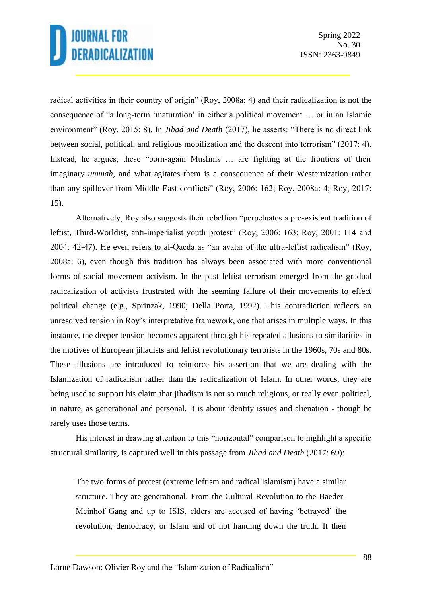radical activities in their country of origin" (Roy, 2008a: 4) and their radicalization is not the consequence of "a long-term 'maturation' in either a political movement … or in an Islamic environment" (Roy, 2015: 8). In *Jihad and Death* (2017), he asserts: "There is no direct link between social, political, and religious mobilization and the descent into terrorism" (2017: 4). Instead, he argues, these "born-again Muslims … are fighting at the frontiers of their imaginary *ummah*, and what agitates them is a consequence of their Westernization rather than any spillover from Middle East conflicts" (Roy, 2006: 162; Roy, 2008a: 4; Roy, 2017: 15).

Alternatively, Roy also suggests their rebellion "perpetuates a pre-existent tradition of leftist, Third-Worldist, anti-imperialist youth protest" (Roy, 2006: 163; Roy, 2001: 114 and 2004: 42-47). He even refers to al-Qaeda as "an avatar of the ultra-leftist radicalism" (Roy, 2008a: 6), even though this tradition has always been associated with more conventional forms of social movement activism. In the past leftist terrorism emerged from the gradual radicalization of activists frustrated with the seeming failure of their movements to effect political change (e.g., Sprinzak, 1990; Della Porta, 1992). This contradiction reflects an unresolved tension in Roy's interpretative framework, one that arises in multiple ways. In this instance, the deeper tension becomes apparent through his repeated allusions to similarities in the motives of European jihadists and leftist revolutionary terrorists in the 1960s, 70s and 80s. These allusions are introduced to reinforce his assertion that we are dealing with the Islamization of radicalism rather than the radicalization of Islam. In other words, they are being used to support his claim that jihadism is not so much religious, or really even political, in nature, as generational and personal. It is about identity issues and alienation - though he rarely uses those terms.

His interest in drawing attention to this "horizontal" comparison to highlight a specific structural similarity, is captured well in this passage from *Jihad and Death* (2017: 69):

The two forms of protest (extreme leftism and radical Islamism) have a similar structure. They are generational. From the Cultural Revolution to the Baeder-Meinhof Gang and up to ISIS, elders are accused of having 'betrayed' the revolution, democracy, or Islam and of not handing down the truth. It then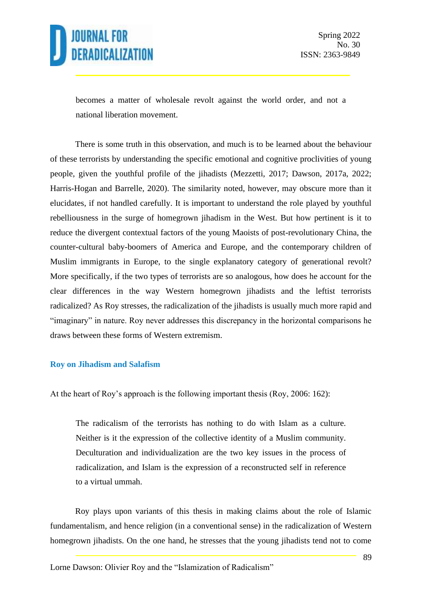

becomes a matter of wholesale revolt against the world order, and not a national liberation movement.

There is some truth in this observation, and much is to be learned about the behaviour of these terrorists by understanding the specific emotional and cognitive proclivities of young people, given the youthful profile of the jihadists (Mezzetti, 2017; Dawson, 2017a, 2022; Harris-Hogan and Barrelle, 2020). The similarity noted, however, may obscure more than it elucidates, if not handled carefully. It is important to understand the role played by youthful rebelliousness in the surge of homegrown jihadism in the West. But how pertinent is it to reduce the divergent contextual factors of the young Maoists of post-revolutionary China, the counter-cultural baby-boomers of America and Europe, and the contemporary children of Muslim immigrants in Europe, to the single explanatory category of generational revolt? More specifically, if the two types of terrorists are so analogous, how does he account for the clear differences in the way Western homegrown jihadists and the leftist terrorists radicalized? As Roy stresses, the radicalization of the jihadists is usually much more rapid and "imaginary" in nature. Roy never addresses this discrepancy in the horizontal comparisons he draws between these forms of Western extremism.

#### **Roy on Jihadism and Salafism**

At the heart of Roy's approach is the following important thesis (Roy, 2006: 162):

The radicalism of the terrorists has nothing to do with Islam as a culture. Neither is it the expression of the collective identity of a Muslim community. Deculturation and individualization are the two key issues in the process of radicalization, and Islam is the expression of a reconstructed self in reference to a virtual ummah.

Roy plays upon variants of this thesis in making claims about the role of Islamic fundamentalism, and hence religion (in a conventional sense) in the radicalization of Western homegrown jihadists. On the one hand, he stresses that the young jihadists tend not to come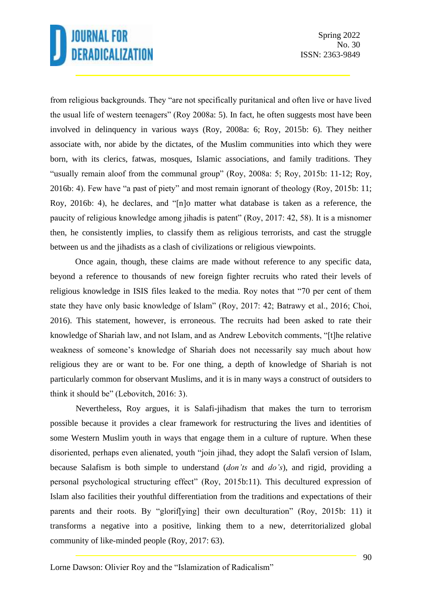from religious backgrounds. They "are not specifically puritanical and often live or have lived the usual life of western teenagers" (Roy 2008a: 5). In fact, he often suggests most have been involved in delinquency in various ways (Roy, 2008a: 6; Roy, 2015b: 6). They neither associate with, nor abide by the dictates, of the Muslim communities into which they were born, with its clerics, fatwas, mosques, Islamic associations, and family traditions. They "usually remain aloof from the communal group" (Roy, 2008a: 5; Roy, 2015b: 11-12; Roy, 2016b: 4). Few have "a past of piety" and most remain ignorant of theology (Roy, 2015b: 11; Roy, 2016b: 4), he declares, and "[n]o matter what database is taken as a reference, the paucity of religious knowledge among jihadis is patent" (Roy, 2017: 42, 58). It is a misnomer then, he consistently implies, to classify them as religious terrorists, and cast the struggle between us and the jihadists as a clash of civilizations or religious viewpoints.

Once again, though, these claims are made without reference to any specific data, beyond a reference to thousands of new foreign fighter recruits who rated their levels of religious knowledge in ISIS files leaked to the media. Roy notes that "70 per cent of them state they have only basic knowledge of Islam" (Roy, 2017: 42; Batrawy et al., 2016; Choi, 2016). This statement, however, is erroneous. The recruits had been asked to rate their knowledge of Shariah law, and not Islam, and as Andrew Lebovitch comments, "[t]he relative weakness of someone's knowledge of Shariah does not necessarily say much about how religious they are or want to be. For one thing, a depth of knowledge of Shariah is not particularly common for observant Muslims, and it is in many ways a construct of outsiders to think it should be" (Lebovitch, 2016: 3).

Nevertheless, Roy argues, it is Salafi-jihadism that makes the turn to terrorism possible because it provides a clear framework for restructuring the lives and identities of some Western Muslim youth in ways that engage them in a culture of rupture. When these disoriented, perhaps even alienated, youth "join jihad, they adopt the Salafi version of Islam, because Salafism is both simple to understand (*don'ts* and *do's*), and rigid, providing a personal psychological structuring effect" (Roy, 2015b:11). This decultured expression of Islam also facilities their youthful differentiation from the traditions and expectations of their parents and their roots. By "glorif[ying] their own deculturation" (Roy, 2015b: 11) it transforms a negative into a positive, linking them to a new, deterritorialized global community of like-minded people (Roy, 2017: 63).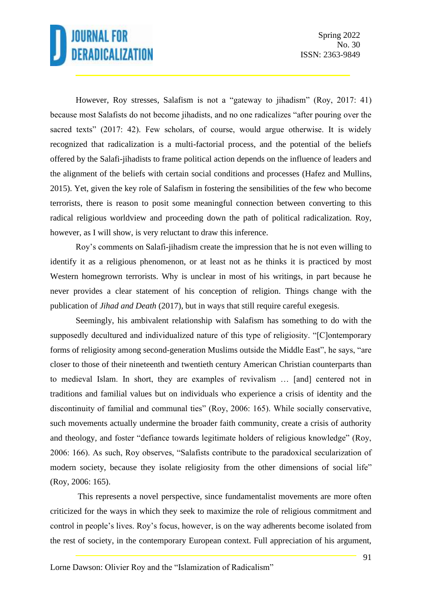However, Roy stresses, Salafism is not a "gateway to jihadism" (Roy, 2017: 41) because most Salafists do not become jihadists, and no one radicalizes "after pouring over the sacred texts" (2017: 42). Few scholars, of course, would argue otherwise. It is widely recognized that radicalization is a multi-factorial process, and the potential of the beliefs offered by the Salafi-jihadists to frame political action depends on the influence of leaders and the alignment of the beliefs with certain social conditions and processes (Hafez and Mullins, 2015). Yet, given the key role of Salafism in fostering the sensibilities of the few who become terrorists, there is reason to posit some meaningful connection between converting to this radical religious worldview and proceeding down the path of political radicalization. Roy, however, as I will show, is very reluctant to draw this inference.

Roy's comments on Salafi-jihadism create the impression that he is not even willing to identify it as a religious phenomenon, or at least not as he thinks it is practiced by most Western homegrown terrorists. Why is unclear in most of his writings, in part because he never provides a clear statement of his conception of religion. Things change with the publication of *Jihad and Death* (2017), but in ways that still require careful exegesis.

Seemingly, his ambivalent relationship with Salafism has something to do with the supposedly decultured and individualized nature of this type of religiosity. "[C]ontemporary forms of religiosity among second-generation Muslims outside the Middle East", he says, "are closer to those of their nineteenth and twentieth century American Christian counterparts than to medieval Islam. In short, they are examples of revivalism … [and] centered not in traditions and familial values but on individuals who experience a crisis of identity and the discontinuity of familial and communal ties" (Roy, 2006: 165). While socially conservative, such movements actually undermine the broader faith community, create a crisis of authority and theology, and foster "defiance towards legitimate holders of religious knowledge" (Roy, 2006: 166). As such, Roy observes, "Salafists contribute to the paradoxical secularization of modern society, because they isolate religiosity from the other dimensions of social life" (Roy, 2006: 165).

This represents a novel perspective, since fundamentalist movements are more often criticized for the ways in which they seek to maximize the role of religious commitment and control in people's lives. Roy's focus, however, is on the way adherents become isolated from the rest of society, in the contemporary European context. Full appreciation of his argument,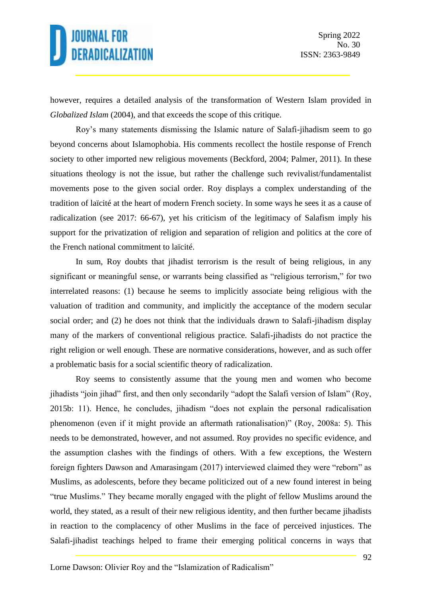however, requires a detailed analysis of the transformation of Western Islam provided in *Globalized Islam* (2004), and that exceeds the scope of this critique.

Roy's many statements dismissing the Islamic nature of Salafi-jihadism seem to go beyond concerns about Islamophobia. His comments recollect the hostile response of French society to other imported new religious movements (Beckford, 2004; Palmer, 2011). In these situations theology is not the issue, but rather the challenge such revivalist/fundamentalist movements pose to the given social order. Roy displays a complex understanding of the tradition of laïcité at the heart of modern French society. In some ways he sees it as a cause of radicalization (see 2017: 66-67), yet his criticism of the legitimacy of Salafism imply his support for the privatization of religion and separation of religion and politics at the core of the French national commitment to laïcité.

In sum, Roy doubts that jihadist terrorism is the result of being religious, in any significant or meaningful sense, or warrants being classified as "religious terrorism," for two interrelated reasons: (1) because he seems to implicitly associate being religious with the valuation of tradition and community, and implicitly the acceptance of the modern secular social order; and (2) he does not think that the individuals drawn to Salafi-jihadism display many of the markers of conventional religious practice. Salafi-jihadists do not practice the right religion or well enough. These are normative considerations, however, and as such offer a problematic basis for a social scientific theory of radicalization.

Roy seems to consistently assume that the young men and women who become jihadists "join jihad" first, and then only secondarily "adopt the Salafi version of Islam" (Roy, 2015b: 11). Hence, he concludes, jihadism "does not explain the personal radicalisation phenomenon (even if it might provide an aftermath rationalisation)" (Roy, 2008a: 5). This needs to be demonstrated, however, and not assumed. Roy provides no specific evidence, and the assumption clashes with the findings of others. With a few exceptions, the Western foreign fighters Dawson and Amarasingam (2017) interviewed claimed they were "reborn" as Muslims, as adolescents, before they became politicized out of a new found interest in being "true Muslims." They became morally engaged with the plight of fellow Muslims around the world, they stated, as a result of their new religious identity, and then further became jihadists in reaction to the complacency of other Muslims in the face of perceived injustices. The Salafi-jihadist teachings helped to frame their emerging political concerns in ways that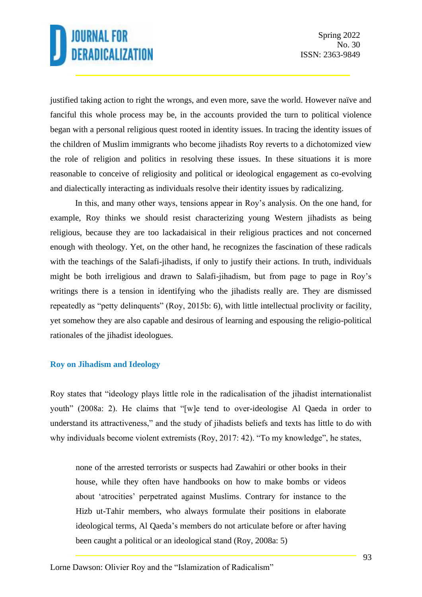justified taking action to right the wrongs, and even more, save the world. However naïve and fanciful this whole process may be, in the accounts provided the turn to political violence began with a personal religious quest rooted in identity issues. In tracing the identity issues of the children of Muslim immigrants who become jihadists Roy reverts to a dichotomized view the role of religion and politics in resolving these issues. In these situations it is more reasonable to conceive of religiosity and political or ideological engagement as co-evolving and dialectically interacting as individuals resolve their identity issues by radicalizing.

In this, and many other ways, tensions appear in Roy's analysis. On the one hand, for example, Roy thinks we should resist characterizing young Western jihadists as being religious, because they are too lackadaisical in their religious practices and not concerned enough with theology. Yet, on the other hand, he recognizes the fascination of these radicals with the teachings of the Salafi-jihadists, if only to justify their actions. In truth, individuals might be both irreligious and drawn to Salafi-jihadism, but from page to page in Roy's writings there is a tension in identifying who the jihadists really are. They are dismissed repeatedly as "petty delinquents" (Roy, 2015b: 6), with little intellectual proclivity or facility, yet somehow they are also capable and desirous of learning and espousing the religio-political rationales of the jihadist ideologues.

### **Roy on Jihadism and Ideology**

Roy states that "ideology plays little role in the radicalisation of the jihadist internationalist youth" (2008a: 2). He claims that "[w]e tend to over-ideologise Al Qaeda in order to understand its attractiveness," and the study of jihadists beliefs and texts has little to do with why individuals become violent extremists (Roy, 2017: 42). "To my knowledge", he states,

none of the arrested terrorists or suspects had Zawahiri or other books in their house, while they often have handbooks on how to make bombs or videos about 'atrocities' perpetrated against Muslims. Contrary for instance to the Hizb ut-Tahir members, who always formulate their positions in elaborate ideological terms, Al Qaeda's members do not articulate before or after having been caught a political or an ideological stand (Roy, 2008a: 5)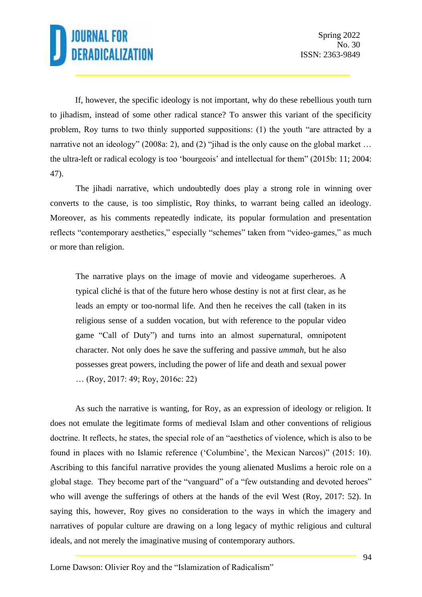If, however, the specific ideology is not important, why do these rebellious youth turn to jihadism, instead of some other radical stance? To answer this variant of the specificity problem, Roy turns to two thinly supported suppositions: (1) the youth "are attracted by a narrative not an ideology" (2008a: 2), and (2) "jihad is the only cause on the global market ... the ultra-left or radical ecology is too 'bourgeois' and intellectual for them" (2015b: 11; 2004: 47).

The jihadi narrative, which undoubtedly does play a strong role in winning over converts to the cause, is too simplistic, Roy thinks, to warrant being called an ideology. Moreover, as his comments repeatedly indicate, its popular formulation and presentation reflects "contemporary aesthetics," especially "schemes" taken from "video-games," as much or more than religion.

The narrative plays on the image of movie and videogame superheroes. A typical cliché is that of the future hero whose destiny is not at first clear, as he leads an empty or too-normal life. And then he receives the call (taken in its religious sense of a sudden vocation, but with reference to the popular video game "Call of Duty") and turns into an almost supernatural, omnipotent character. Not only does he save the suffering and passive *ummah*, but he also possesses great powers, including the power of life and death and sexual power … (Roy, 2017: 49; Roy, 2016c: 22)

As such the narrative is wanting, for Roy, as an expression of ideology or religion. It does not emulate the legitimate forms of medieval Islam and other conventions of religious doctrine. It reflects, he states, the special role of an "aesthetics of violence, which is also to be found in places with no Islamic reference ('Columbine', the Mexican Narcos)" (2015: 10). Ascribing to this fanciful narrative provides the young alienated Muslims a heroic role on a global stage. They become part of the "vanguard" of a "few outstanding and devoted heroes" who will avenge the sufferings of others at the hands of the evil West (Roy, 2017: 52). In saying this, however, Roy gives no consideration to the ways in which the imagery and narratives of popular culture are drawing on a long legacy of mythic religious and cultural ideals, and not merely the imaginative musing of contemporary authors.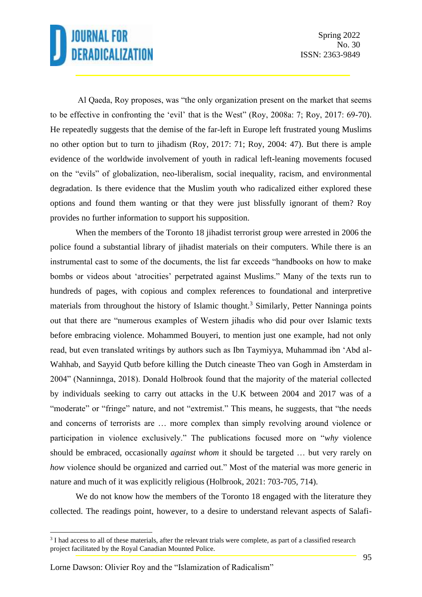Al Qaeda, Roy proposes, was "the only organization present on the market that seems to be effective in confronting the 'evil' that is the West" (Roy, 2008a: 7; Roy, 2017: 69-70). He repeatedly suggests that the demise of the far-left in Europe left frustrated young Muslims no other option but to turn to jihadism (Roy, 2017: 71; Roy, 2004: 47). But there is ample evidence of the worldwide involvement of youth in radical left-leaning movements focused on the "evils" of globalization, neo-liberalism, social inequality, racism, and environmental degradation. Is there evidence that the Muslim youth who radicalized either explored these options and found them wanting or that they were just blissfully ignorant of them? Roy provides no further information to support his supposition.

When the members of the Toronto 18 jihadist terrorist group were arrested in 2006 the police found a substantial library of jihadist materials on their computers. While there is an instrumental cast to some of the documents, the list far exceeds "handbooks on how to make bombs or videos about 'atrocities' perpetrated against Muslims." Many of the texts run to hundreds of pages, with copious and complex references to foundational and interpretive materials from throughout the history of Islamic thought.<sup>3</sup> Similarly, Petter Nanninga points out that there are "numerous examples of Western jihadis who did pour over Islamic texts before embracing violence. Mohammed Bouyeri, to mention just one example, had not only read, but even translated writings by authors such as Ibn Taymiyya, Muhammad ibn 'Abd al-Wahhab, and Sayyid Qutb before killing the Dutch cineaste Theo van Gogh in Amsterdam in 2004" (Nanninnga, 2018). Donald Holbrook found that the majority of the material collected by individuals seeking to carry out attacks in the U.K between 2004 and 2017 was of a "moderate" or "fringe" nature, and not "extremist." This means, he suggests, that "the needs and concerns of terrorists are … more complex than simply revolving around violence or participation in violence exclusively." The publications focused more on "*why* violence should be embraced, occasionally *against whom* it should be targeted … but very rarely on *how* violence should be organized and carried out." Most of the material was more generic in nature and much of it was explicitly religious (Holbrook, 2021: 703-705, 714).

We do not know how the members of the Toronto 18 engaged with the literature they collected. The readings point, however, to a desire to understand relevant aspects of Salafi-

<sup>&</sup>lt;sup>3</sup> I had access to all of these materials, after the relevant trials were complete, as part of a classified research project facilitated by the Royal Canadian Mounted Police.

Lorne Dawson: Olivier Roy and the "Islamization of Radicalism"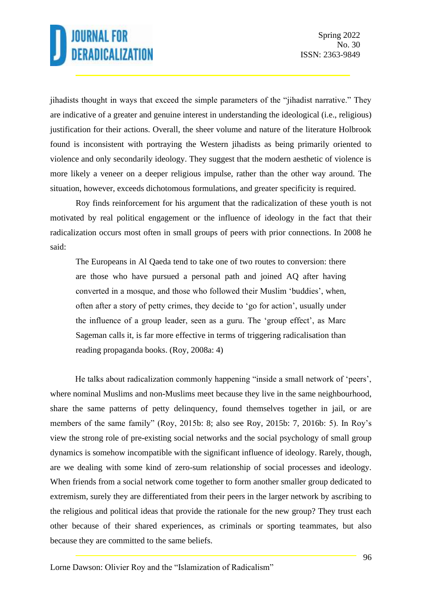jihadists thought in ways that exceed the simple parameters of the "jihadist narrative." They are indicative of a greater and genuine interest in understanding the ideological (i.e., religious) justification for their actions. Overall, the sheer volume and nature of the literature Holbrook found is inconsistent with portraying the Western jihadists as being primarily oriented to violence and only secondarily ideology. They suggest that the modern aesthetic of violence is more likely a veneer on a deeper religious impulse, rather than the other way around. The situation, however, exceeds dichotomous formulations, and greater specificity is required.

Roy finds reinforcement for his argument that the radicalization of these youth is not motivated by real political engagement or the influence of ideology in the fact that their radicalization occurs most often in small groups of peers with prior connections. In 2008 he said:

The Europeans in Al Qaeda tend to take one of two routes to conversion: there are those who have pursued a personal path and joined AQ after having converted in a mosque, and those who followed their Muslim 'buddies', when, often after a story of petty crimes, they decide to 'go for action', usually under the influence of a group leader, seen as a guru. The 'group effect', as Marc Sageman calls it, is far more effective in terms of triggering radicalisation than reading propaganda books. (Roy, 2008a: 4)

He talks about radicalization commonly happening "inside a small network of 'peers', where nominal Muslims and non-Muslims meet because they live in the same neighbourhood, share the same patterns of petty delinquency, found themselves together in jail, or are members of the same family" (Roy, 2015b: 8; also see Roy, 2015b: 7, 2016b: 5). In Roy's view the strong role of pre-existing social networks and the social psychology of small group dynamics is somehow incompatible with the significant influence of ideology. Rarely, though, are we dealing with some kind of zero-sum relationship of social processes and ideology. When friends from a social network come together to form another smaller group dedicated to extremism, surely they are differentiated from their peers in the larger network by ascribing to the religious and political ideas that provide the rationale for the new group? They trust each other because of their shared experiences, as criminals or sporting teammates, but also because they are committed to the same beliefs.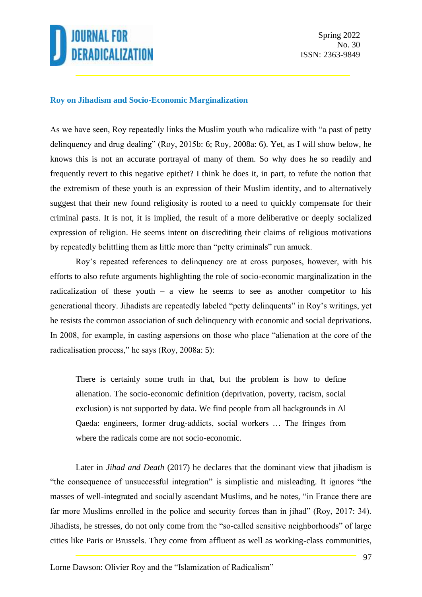

#### **Roy on Jihadism and Socio-Economic Marginalization**

As we have seen, Roy repeatedly links the Muslim youth who radicalize with "a past of petty delinquency and drug dealing" (Roy, 2015b: 6; Roy, 2008a: 6). Yet, as I will show below, he knows this is not an accurate portrayal of many of them. So why does he so readily and frequently revert to this negative epithet? I think he does it, in part, to refute the notion that the extremism of these youth is an expression of their Muslim identity, and to alternatively suggest that their new found religiosity is rooted to a need to quickly compensate for their criminal pasts. It is not, it is implied, the result of a more deliberative or deeply socialized expression of religion. He seems intent on discrediting their claims of religious motivations by repeatedly belittling them as little more than "petty criminals" run amuck.

Roy's repeated references to delinquency are at cross purposes, however, with his efforts to also refute arguments highlighting the role of socio-economic marginalization in the radicalization of these youth – a view he seems to see as another competitor to his generational theory. Jihadists are repeatedly labeled "petty delinquents" in Roy's writings, yet he resists the common association of such delinquency with economic and social deprivations. In 2008, for example, in casting aspersions on those who place "alienation at the core of the radicalisation process," he says (Roy, 2008a: 5):

There is certainly some truth in that, but the problem is how to define alienation. The socio-economic definition (deprivation, poverty, racism, social exclusion) is not supported by data. We find people from all backgrounds in Al Qaeda: engineers, former drug-addicts, social workers … The fringes from where the radicals come are not socio-economic.

Later in *Jihad and Death* (2017) he declares that the dominant view that jihadism is "the consequence of unsuccessful integration" is simplistic and misleading. It ignores "the masses of well-integrated and socially ascendant Muslims, and he notes, "in France there are far more Muslims enrolled in the police and security forces than in jihad" (Roy, 2017: 34). Jihadists, he stresses, do not only come from the "so-called sensitive neighborhoods" of large cities like Paris or Brussels. They come from affluent as well as working-class communities,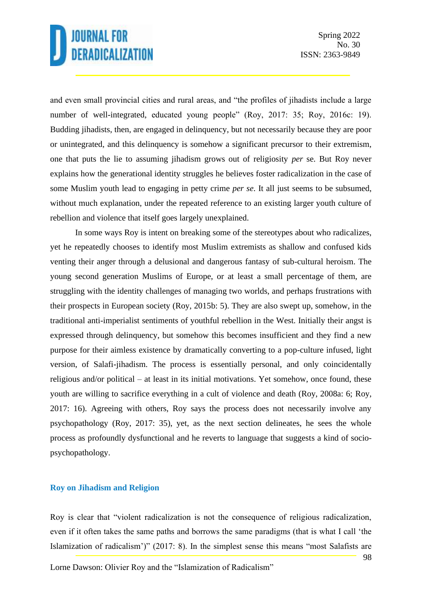and even small provincial cities and rural areas, and "the profiles of jihadists include a large number of well-integrated, educated young people" (Roy, 2017: 35; Roy, 2016c: 19). Budding jihadists, then, are engaged in delinquency, but not necessarily because they are poor or unintegrated, and this delinquency is somehow a significant precursor to their extremism, one that puts the lie to assuming jihadism grows out of religiosity *per* se. But Roy never explains how the generational identity struggles he believes foster radicalization in the case of some Muslim youth lead to engaging in petty crime *per se*. It all just seems to be subsumed, without much explanation, under the repeated reference to an existing larger youth culture of rebellion and violence that itself goes largely unexplained.

In some ways Roy is intent on breaking some of the stereotypes about who radicalizes, yet he repeatedly chooses to identify most Muslim extremists as shallow and confused kids venting their anger through a delusional and dangerous fantasy of sub-cultural heroism. The young second generation Muslims of Europe, or at least a small percentage of them, are struggling with the identity challenges of managing two worlds, and perhaps frustrations with their prospects in European society (Roy, 2015b: 5). They are also swept up, somehow, in the traditional anti-imperialist sentiments of youthful rebellion in the West. Initially their angst is expressed through delinquency, but somehow this becomes insufficient and they find a new purpose for their aimless existence by dramatically converting to a pop-culture infused, light version, of Salafi-jihadism. The process is essentially personal, and only coincidentally religious and/or political – at least in its initial motivations. Yet somehow, once found, these youth are willing to sacrifice everything in a cult of violence and death (Roy, 2008a: 6; Roy, 2017: 16). Agreeing with others, Roy says the process does not necessarily involve any psychopathology (Roy, 2017: 35), yet, as the next section delineates, he sees the whole process as profoundly dysfunctional and he reverts to language that suggests a kind of sociopsychopathology.

#### **Roy on Jihadism and Religion**

Roy is clear that "violent radicalization is not the consequence of religious radicalization, even if it often takes the same paths and borrows the same paradigms (that is what I call 'the Islamization of radicalism')" (2017: 8). In the simplest sense this means "most Salafists are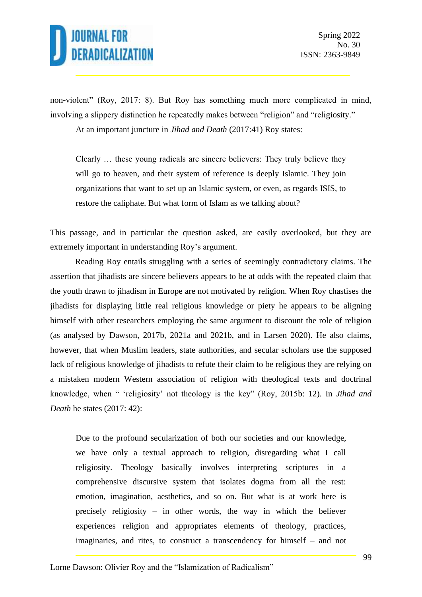non-violent" (Roy, 2017: 8). But Roy has something much more complicated in mind, involving a slippery distinction he repeatedly makes between "religion" and "religiosity."

At an important juncture in *Jihad and Death* (2017:41) Roy states:

Clearly … these young radicals are sincere believers: They truly believe they will go to heaven, and their system of reference is deeply Islamic. They join organizations that want to set up an Islamic system, or even, as regards ISIS, to restore the caliphate. But what form of Islam as we talking about?

This passage, and in particular the question asked, are easily overlooked, but they are extremely important in understanding Roy's argument.

Reading Roy entails struggling with a series of seemingly contradictory claims. The assertion that jihadists are sincere believers appears to be at odds with the repeated claim that the youth drawn to jihadism in Europe are not motivated by religion. When Roy chastises the jihadists for displaying little real religious knowledge or piety he appears to be aligning himself with other researchers employing the same argument to discount the role of religion (as analysed by Dawson, 2017b, 2021a and 2021b, and in Larsen 2020). He also claims, however, that when Muslim leaders, state authorities, and secular scholars use the supposed lack of religious knowledge of jihadists to refute their claim to be religious they are relying on a mistaken modern Western association of religion with theological texts and doctrinal knowledge, when " 'religiosity' not theology is the key" (Roy, 2015b: 12). In *Jihad and Death* he states (2017: 42):

Due to the profound secularization of both our societies and our knowledge, we have only a textual approach to religion, disregarding what I call religiosity. Theology basically involves interpreting scriptures in a comprehensive discursive system that isolates dogma from all the rest: emotion, imagination, aesthetics, and so on. But what is at work here is precisely religiosity – in other words, the way in which the believer experiences religion and appropriates elements of theology, practices, imaginaries, and rites, to construct a transcendency for himself – and not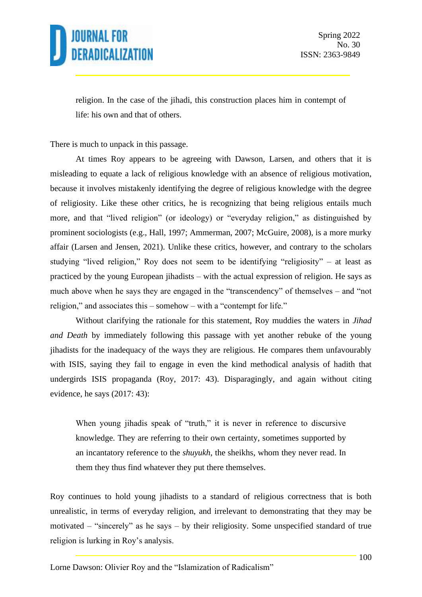

religion. In the case of the jihadi, this construction places him in contempt of life: his own and that of others.

There is much to unpack in this passage.

At times Roy appears to be agreeing with Dawson, Larsen, and others that it is misleading to equate a lack of religious knowledge with an absence of religious motivation, because it involves mistakenly identifying the degree of religious knowledge with the degree of religiosity. Like these other critics, he is recognizing that being religious entails much more, and that "lived religion" (or ideology) or "everyday religion," as distinguished by prominent sociologists (e.g., Hall, 1997; Ammerman, 2007; McGuire, 2008), is a more murky affair (Larsen and Jensen, 2021). Unlike these critics, however, and contrary to the scholars studying "lived religion," Roy does not seem to be identifying "religiosity" – at least as practiced by the young European jihadists – with the actual expression of religion. He says as much above when he says they are engaged in the "transcendency" of themselves – and "not religion," and associates this – somehow – with a "contempt for life."

Without clarifying the rationale for this statement, Roy muddies the waters in *Jihad and Death* by immediately following this passage with yet another rebuke of the young jihadists for the inadequacy of the ways they are religious. He compares them unfavourably with ISIS, saying they fail to engage in even the kind methodical analysis of hadith that undergirds ISIS propaganda (Roy, 2017: 43). Disparagingly, and again without citing evidence, he says (2017: 43):

When young jihadis speak of "truth," it is never in reference to discursive knowledge. They are referring to their own certainty, sometimes supported by an incantatory reference to the *shuyukh*, the sheikhs, whom they never read. In them they thus find whatever they put there themselves.

Roy continues to hold young jihadists to a standard of religious correctness that is both unrealistic, in terms of everyday religion, and irrelevant to demonstrating that they may be motivated – "sincerely" as he says – by their religiosity. Some unspecified standard of true religion is lurking in Roy's analysis.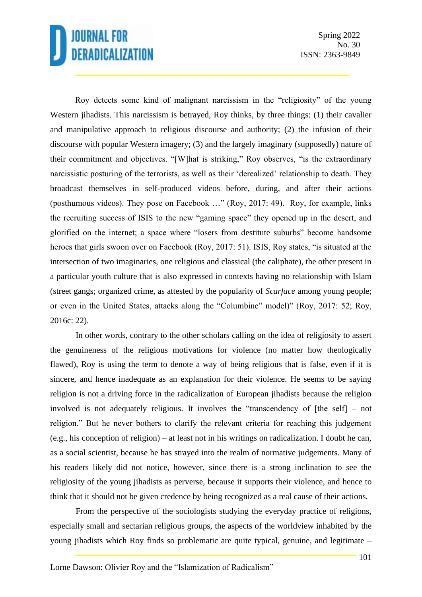Spring 2022 No. 30 ISSN: 2363-9849

Roy detects some kind of malignant narcissism in the "religiosity" of the young Western jihadists. This narcissism is betrayed, Roy thinks, by three things: (1) their cavalier and manipulative approach to religious discourse and authority; (2) the infusion of their discourse with popular Western imagery; (3) and the largely imaginary (supposedly) nature of their commitment and objectives. "[W]hat is striking," Roy observes, "is the extraordinary narcissistic posturing of the terrorists, as well as their 'derealized' relationship to death. They broadcast themselves in self-produced videos before, during, and after their actions (posthumous videos). They pose on Facebook …" (Roy, 2017: 49). Roy, for example, links the recruiting success of ISIS to the new "gaming space" they opened up in the desert, and glorified on the internet; a space where "losers from destitute suburbs" become handsome heroes that girls swoon over on Facebook (Roy, 2017: 51). ISIS, Roy states, "is situated at the intersection of two imaginaries, one religious and classical (the caliphate), the other present in a particular youth culture that is also expressed in contexts having no relationship with Islam (street gangs; organized crime, as attested by the popularity of *Scarface* among young people; or even in the United States, attacks along the "Columbine" model)" (Roy, 2017: 52; Roy, 2016c: 22).

In other words, contrary to the other scholars calling on the idea of religiosity to assert the genuineness of the religious motivations for violence (no matter how theologically flawed), Roy is using the term to denote a way of being religious that is false, even if it is sincere, and hence inadequate as an explanation for their violence. He seems to be saying religion is not a driving force in the radicalization of European jihadists because the religion involved is not adequately religious. It involves the "transcendency of [the self] – not religion." But he never bothers to clarify the relevant criteria for reaching this judgement (e.g., his conception of religion) – at least not in his writings on radicalization. I doubt he can, as a social scientist, because he has strayed into the realm of normative judgements. Many of his readers likely did not notice, however, since there is a strong inclination to see the religiosity of the young jihadists as perverse, because it supports their violence, and hence to think that it should not be given credence by being recognized as a real cause of their actions.

From the perspective of the sociologists studying the everyday practice of religions, especially small and sectarian religious groups, the aspects of the worldview inhabited by the young jihadists which Roy finds so problematic are quite typical, genuine, and legitimate –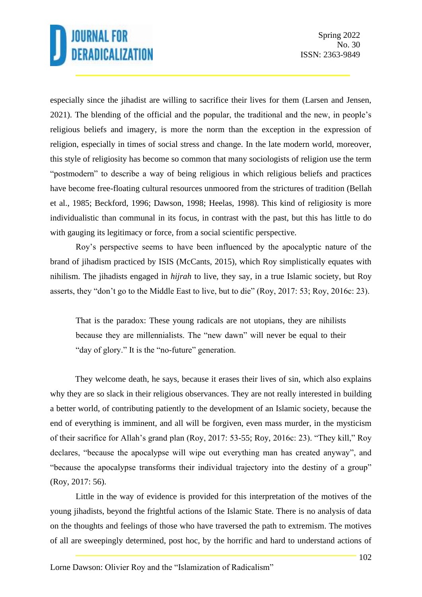especially since the jihadist are willing to sacrifice their lives for them (Larsen and Jensen, 2021). The blending of the official and the popular, the traditional and the new, in people's religious beliefs and imagery, is more the norm than the exception in the expression of religion, especially in times of social stress and change. In the late modern world, moreover, this style of religiosity has become so common that many sociologists of religion use the term "postmodern" to describe a way of being religious in which religious beliefs and practices have become free-floating cultural resources unmoored from the strictures of tradition (Bellah et al., 1985; Beckford, 1996; Dawson, 1998; Heelas, 1998). This kind of religiosity is more individualistic than communal in its focus, in contrast with the past, but this has little to do with gauging its legitimacy or force, from a social scientific perspective.

Roy's perspective seems to have been influenced by the apocalyptic nature of the brand of jihadism practiced by ISIS (McCants, 2015), which Roy simplistically equates with nihilism. The jihadists engaged in *hijrah* to live, they say, in a true Islamic society, but Roy asserts, they "don't go to the Middle East to live, but to die" (Roy, 2017: 53; Roy, 2016c: 23).

That is the paradox: These young radicals are not utopians, they are nihilists because they are millennialists. The "new dawn" will never be equal to their "day of glory." It is the "no-future" generation.

They welcome death, he says, because it erases their lives of sin, which also explains why they are so slack in their religious observances. They are not really interested in building a better world, of contributing patiently to the development of an Islamic society, because the end of everything is imminent, and all will be forgiven, even mass murder, in the mysticism of their sacrifice for Allah's grand plan (Roy, 2017: 53-55; Roy, 2016c: 23). "They kill," Roy declares, "because the apocalypse will wipe out everything man has created anyway", and "because the apocalypse transforms their individual trajectory into the destiny of a group" (Roy, 2017: 56).

Little in the way of evidence is provided for this interpretation of the motives of the young jihadists, beyond the frightful actions of the Islamic State. There is no analysis of data on the thoughts and feelings of those who have traversed the path to extremism. The motives of all are sweepingly determined, post hoc, by the horrific and hard to understand actions of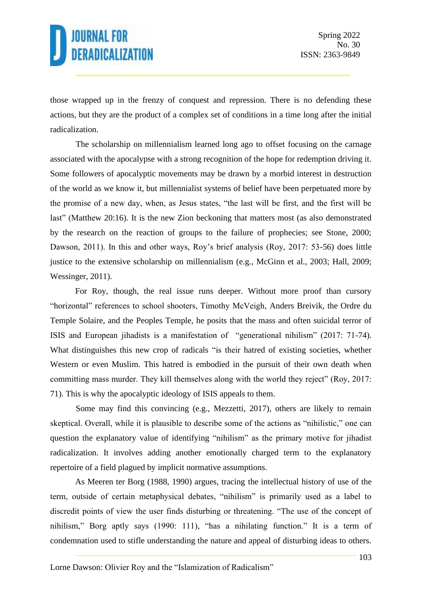those wrapped up in the frenzy of conquest and repression. There is no defending these actions, but they are the product of a complex set of conditions in a time long after the initial radicalization.

The scholarship on millennialism learned long ago to offset focusing on the carnage associated with the apocalypse with a strong recognition of the hope for redemption driving it. Some followers of apocalyptic movements may be drawn by a morbid interest in destruction of the world as we know it, but millennialist systems of belief have been perpetuated more by the promise of a new day, when, as Jesus states, "the last will be first, and the first will be last" (Matthew 20:16). It is the new Zion beckoning that matters most (as also demonstrated by the research on the reaction of groups to the failure of prophecies; see Stone, 2000; Dawson, 2011). In this and other ways, Roy's brief analysis (Roy, 2017: 53-56) does little justice to the extensive scholarship on millennialism (e.g., McGinn et al., 2003; Hall, 2009; Wessinger, 2011).

For Roy, though, the real issue runs deeper. Without more proof than cursory "horizontal" references to school shooters, Timothy McVeigh, Anders Breivik, the Ordre du Temple Solaire, and the Peoples Temple, he posits that the mass and often suicidal terror of ISIS and European jihadists is a manifestation of "generational nihilism" (2017: 71-74). What distinguishes this new crop of radicals "is their hatred of existing societies, whether Western or even Muslim. This hatred is embodied in the pursuit of their own death when committing mass murder. They kill themselves along with the world they reject" (Roy, 2017: 71). This is why the apocalyptic ideology of ISIS appeals to them.

Some may find this convincing (e.g., Mezzetti, 2017), others are likely to remain skeptical. Overall, while it is plausible to describe some of the actions as "nihilistic," one can question the explanatory value of identifying "nihilism" as the primary motive for jihadist radicalization. It involves adding another emotionally charged term to the explanatory repertoire of a field plagued by implicit normative assumptions.

As Meeren ter Borg (1988, 1990) argues, tracing the intellectual history of use of the term, outside of certain metaphysical debates, "nihilism" is primarily used as a label to discredit points of view the user finds disturbing or threatening. "The use of the concept of nihilism," Borg aptly says (1990: 111), "has a nihilating function." It is a term of condemnation used to stifle understanding the nature and appeal of disturbing ideas to others.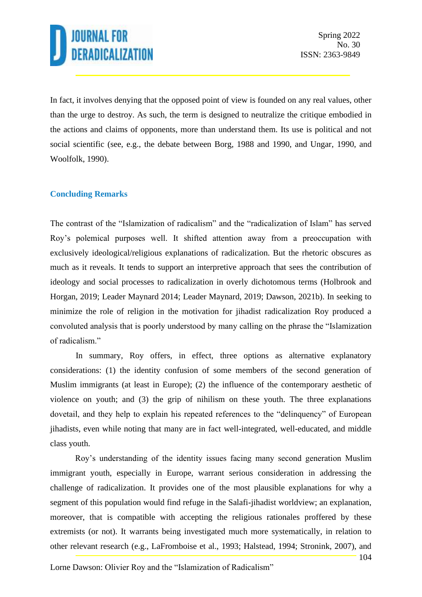In fact, it involves denying that the opposed point of view is founded on any real values, other than the urge to destroy. As such, the term is designed to neutralize the critique embodied in the actions and claims of opponents, more than understand them. Its use is political and not social scientific (see, e.g., the debate between Borg, 1988 and 1990, and Ungar, 1990, and Woolfolk, 1990).

### **Concluding Remarks**

The contrast of the "Islamization of radicalism" and the "radicalization of Islam" has served Roy's polemical purposes well. It shifted attention away from a preoccupation with exclusively ideological/religious explanations of radicalization. But the rhetoric obscures as much as it reveals. It tends to support an interpretive approach that sees the contribution of ideology and social processes to radicalization in overly dichotomous terms (Holbrook and Horgan, 2019; Leader Maynard 2014; Leader Maynard, 2019; Dawson, 2021b). In seeking to minimize the role of religion in the motivation for jihadist radicalization Roy produced a convoluted analysis that is poorly understood by many calling on the phrase the "Islamization of radicalism."

In summary, Roy offers, in effect, three options as alternative explanatory considerations: (1) the identity confusion of some members of the second generation of Muslim immigrants (at least in Europe); (2) the influence of the contemporary aesthetic of violence on youth; and (3) the grip of nihilism on these youth. The three explanations dovetail, and they help to explain his repeated references to the "delinquency" of European jihadists, even while noting that many are in fact well-integrated, well-educated, and middle class youth.

Roy's understanding of the identity issues facing many second generation Muslim immigrant youth, especially in Europe, warrant serious consideration in addressing the challenge of radicalization. It provides one of the most plausible explanations for why a segment of this population would find refuge in the Salafi-jihadist worldview; an explanation, moreover, that is compatible with accepting the religious rationales proffered by these extremists (or not). It warrants being investigated much more systematically, in relation to other relevant research (e.g., LaFromboise et al., 1993; Halstead, 1994; Stronink, 2007), and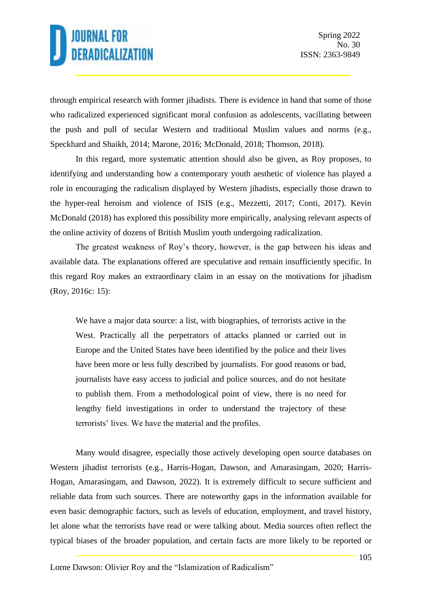through empirical research with former jihadists. There is evidence in hand that some of those who radicalized experienced significant moral confusion as adolescents, vacillating between the push and pull of secular Western and traditional Muslim values and norms (e.g., Speckhard and Shaikh, 2014; Marone, 2016; McDonald, 2018; Thomson, 2018).

In this regard, more systematic attention should also be given, as Roy proposes, to identifying and understanding how a contemporary youth aesthetic of violence has played a role in encouraging the radicalism displayed by Western jihadists, especially those drawn to the hyper-real heroism and violence of ISIS (e.g., Mezzetti, 2017; Conti, 2017). Kevin McDonald (2018) has explored this possibility more empirically, analysing relevant aspects of the online activity of dozens of British Muslim youth undergoing radicalization.

The greatest weakness of Roy's theory, however, is the gap between his ideas and available data. The explanations offered are speculative and remain insufficiently specific. In this regard Roy makes an extraordinary claim in an essay on the motivations for jihadism (Roy, 2016c: 15):

We have a major data source: a list, with biographies, of terrorists active in the West. Practically all the perpetrators of attacks planned or carried out in Europe and the United States have been identified by the police and their lives have been more or less fully described by journalists. For good reasons or bad, journalists have easy access to judicial and police sources, and do not hesitate to publish them. From a methodological point of view, there is no need for lengthy field investigations in order to understand the trajectory of these terrorists' lives. We have the material and the profiles.

Many would disagree, especially those actively developing open source databases on Western jihadist terrorists (e.g., Harris-Hogan, Dawson, and Amarasingam, 2020; Harris-Hogan, Amarasingam, and Dawson, 2022). It is extremely difficult to secure sufficient and reliable data from such sources. There are noteworthy gaps in the information available for even basic demographic factors, such as levels of education, employment, and travel history, let alone what the terrorists have read or were talking about. Media sources often reflect the typical biases of the broader population, and certain facts are more likely to be reported or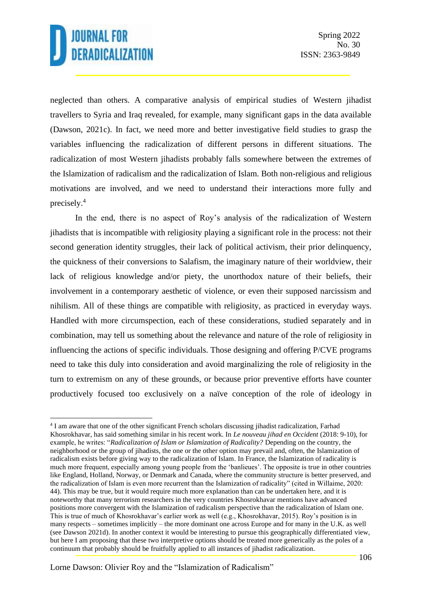neglected than others. A comparative analysis of empirical studies of Western jihadist travellers to Syria and Iraq revealed, for example, many significant gaps in the data available (Dawson, 2021c). In fact, we need more and better investigative field studies to grasp the variables influencing the radicalization of different persons in different situations. The radicalization of most Western jihadists probably falls somewhere between the extremes of the Islamization of radicalism and the radicalization of Islam. Both non-religious and religious motivations are involved, and we need to understand their interactions more fully and precisely.<sup>4</sup>

In the end, there is no aspect of Roy's analysis of the radicalization of Western jihadists that is incompatible with religiosity playing a significant role in the process: not their second generation identity struggles, their lack of political activism, their prior delinquency, the quickness of their conversions to Salafism, the imaginary nature of their worldview, their lack of religious knowledge and/or piety, the unorthodox nature of their beliefs, their involvement in a contemporary aesthetic of violence, or even their supposed narcissism and nihilism. All of these things are compatible with religiosity, as practiced in everyday ways. Handled with more circumspection, each of these considerations, studied separately and in combination, may tell us something about the relevance and nature of the role of religiosity in influencing the actions of specific individuals. Those designing and offering P/CVE programs need to take this duly into consideration and avoid marginalizing the role of religiosity in the turn to extremism on any of these grounds, or because prior preventive efforts have counter productively focused too exclusively on a naïve conception of the role of ideology in

<sup>&</sup>lt;sup>4</sup> I am aware that one of the other significant French scholars discussing jihadist radicalization, Farhad Khosrokhavar, has said something similar in his recent work. In *Le nouveau jihad en Occident* (2018: 9-10), for example, he writes: "*Radicalization of Islam or Islamization of Radicality?* Depending on the country, the neighborhood or the group of jihadists, the one or the other option may prevail and, often, the Islamization of radicalism exists before giving way to the radicalization of Islam. In France, the Islamization of radicality is much more frequent, especially among young people from the 'banlieues'. The opposite is true in other countries like England, Holland, Norway, or Denmark and Canada, where the community structure is better preserved, and the radicalization of Islam is even more recurrent than the Islamization of radicality" (cited in Willaime, 2020: 44). This may be true, but it would require much more explanation than can be undertaken here, and it is noteworthy that many terrorism researchers in the very countries Khosrokhavar mentions have advanced positions more convergent with the Islamization of radicalism perspective than the radicalization of Islam one. This is true of much of Khosrokhavar's earlier work as well (e.g., Khosrokhavar, 2015). Roy's position is in many respects – sometimes implicitly – the more dominant one across Europe and for many in the U.K. as well (see Dawson 2021d). In another context it would be interesting to pursue this geographically differentiated view, but here I am proposing that these two interpretive options should be treated more generically as the poles of a continuum that probably should be fruitfully applied to all instances of jihadist radicalization.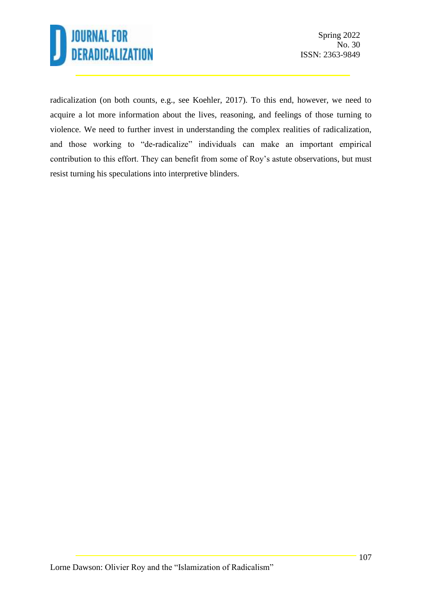

radicalization (on both counts, e.g., see Koehler, 2017). To this end, however, we need to acquire a lot more information about the lives, reasoning, and feelings of those turning to violence. We need to further invest in understanding the complex realities of radicalization, and those working to "de-radicalize" individuals can make an important empirical contribution to this effort. They can benefit from some of Roy's astute observations, but must resist turning his speculations into interpretive blinders.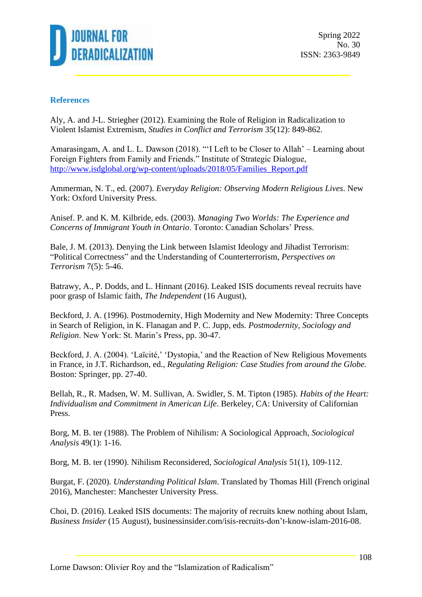

Spring 2022 No. 30 ISSN: 2363-9849

#### **References**

Aly, A. and J-L. Striegher (2012). Examining the Role of Religion in Radicalization to Violent Islamist Extremism, *Studies in Conflict and Terrorism* 35(12): 849-862.

Amarasingam, A. and L. L. Dawson (2018). "'I Left to be Closer to Allah' – Learning about Foreign Fighters from Family and Friends." Institute of Strategic Dialogue, [http://www.isdglobal.org/wp-content/uploads/2018/05/Families\\_Report.pdf](http://www.isdglobal.org/wp-content/uploads/2018/05/Families_Report.pdf)

Ammerman, N. T., ed. (2007). *Everyday Religion: Observing Modern Religious Lives*. New York: Oxford University Press.

Anisef. P. and K. M. Kilbride, eds. (2003). *Managing Two Worlds: The Experience and Concerns of Immigrant Youth in Ontario*. Toronto: Canadian Scholars' Press.

Bale, J. M. (2013). Denying the Link between Islamist Ideology and Jihadist Terrorism: "Political Correctness" and the Understanding of Counterterrorism, *Perspectives on Terrorism* 7(5): 5-46.

Batrawy, A., P. Dodds, and L. Hinnant (2016). Leaked ISIS documents reveal recruits have poor grasp of Islamic faith, *The Independent* (16 August),

Beckford, J. A. (1996). Postmodernity, High Modernity and New Modernity: Three Concepts in Search of Religion, in K. Flanagan and P. C. Jupp, eds. *Postmodernity, Sociology and Religion*. New York: St. Marin's Press, pp. 30-47.

Beckford, J. A. (2004). 'Laïcité,' 'Dystopia,' and the Reaction of New Religious Movements in France, in J.T. Richardson, ed., *Regulating Religion: Case Studies from around the Globe.*  Boston: Springer, pp. 27-40.

Bellah, R., R. Madsen, W. M. Sullivan, A. Swidler, S. M. Tipton (1985). *Habits of the Heart: Individualism and Commitment in American Life*. Berkeley, CA: University of Californian Press.

Borg, M. B. ter (1988). The Problem of Nihilism: A Sociological Approach, *Sociological Analysis* 49(1): 1-16.

Borg, M. B. ter (1990). Nihilism Reconsidered, *Sociological Analysis* 51(1), 109-112.

Burgat, F. (2020). *Understanding Political Islam*. Translated by Thomas Hill (French original 2016), Manchester: Manchester University Press.

Choi, D. (2016). Leaked ISIS documents: The majority of recruits knew nothing about Islam, *Business Insider* (15 August), businessinsider.com/isis-recruits-don't-know-islam-2016-08.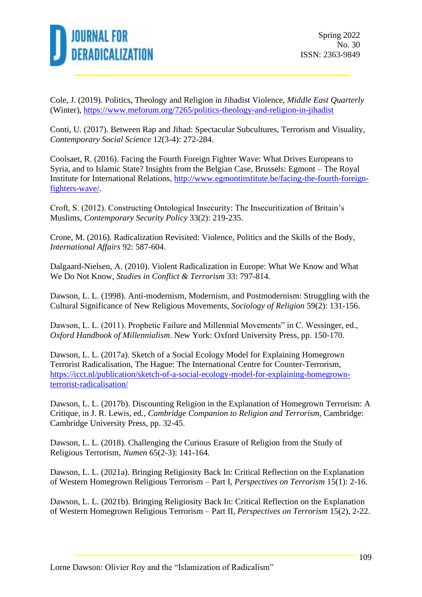

Cole, J. (2019). Politics, Theology and Religion in Jihadist Violence, *Middle East Quarterly* (Winter),<https://www.meforum.org/7265/politics-theology-and-religion-in-jihadist>

Conti, U. (2017). Between Rap and Jihad: Spectacular Subcultures, Terrorism and Visuality, *Contemporary Social Science* 12(3-4): 272-284.

Coolsaet, R. (2016). Facing the Fourth Foreign Fighter Wave: What Drives Europeans to Syria, and to Islamic State? Insights from the Belgian Case, Brussels: Egmont – The Royal Institute for International Relations, [http://www.egmontinstitute.be/facing-the-fourth-foreign](http://www.egmontinstitute.be/facing-the-fourth-foreign-fighters-wave/)[fighters-wave/.](http://www.egmontinstitute.be/facing-the-fourth-foreign-fighters-wave/)

Croft, S. (2012). Constructing Ontological Insecurity: The Insecuritization of Britain's Muslims, *Contemporary Security Policy* 33(2): 219-235.

Crone, M. (2016). Radicalization Revisited: Violence, Politics and the Skills of the Body, *International Affairs* 92: 587-604.

Dalgaard-Nielsen, A. (2010). Violent Radicalization in Europe: What We Know and What We Do Not Know, *Studies in Conflict & Terrorism* 33: 797-814.

Dawson, L. L. (1998). Anti-modernism, Modernism, and Postmodernism: Struggling with the Cultural Significance of New Religious Movements, *Sociology of Religion* 59(2): 131-156.

Dawson, L. L. (2011). Prophetic Failure and Millennial Movements" in C. Wessinger, ed., *Oxford Handbook of Millennialism*. New York: Oxford University Press, pp. 150-170.

Dawson, L. L. (2017a). Sketch of a Social Ecology Model for Explaining Homegrown Terrorist Radicalisation, The Hague: The International Centre for Counter-Terrorism, [https://icct.nl/publication/sketch-of-a-social-ecology-model-for-explaining-homegrown](https://icct.nl/publication/sketch-of-a-social-ecology-model-for-explaining-homegrown-terrorist-radicalisation/)[terrorist-radicalisation/](https://icct.nl/publication/sketch-of-a-social-ecology-model-for-explaining-homegrown-terrorist-radicalisation/)

Dawson, L. L. (2017b). Discounting Religion in the Explanation of Homegrown Terrorism: A Critique, in J. R. Lewis, ed., *Cambridge Companion to Religion and Terrorism*, Cambridge: Cambridge University Press, pp. 32-45.

Dawson, L. L. (2018). Challenging the Curious Erasure of Religion from the Study of Religious Terrorism, *Numen* 65(2-3): 141-164.

Dawson, L. L. (2021a). Bringing Religiosity Back In: Critical Reflection on the Explanation of Western Homegrown Religious Terrorism – Part I, *Perspectives on Terrorism* 15(1): 2-16.

Dawson, L. L. (2021b). Bringing Religiosity Back In: Critical Reflection on the Explanation of Western Homegrown Religious Terrorism – Part II, *Perspectives on Terrorism* 15(2), 2-22.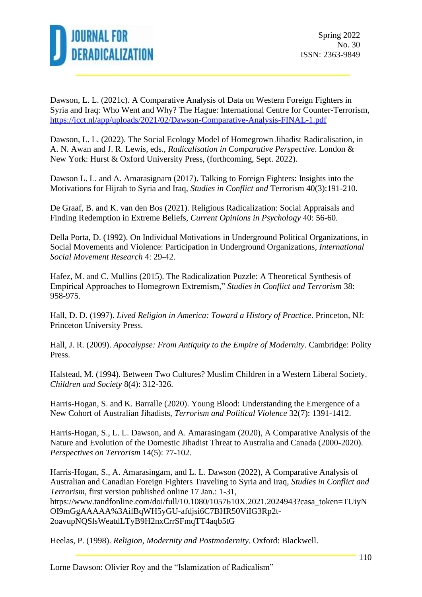

Dawson, L. L. (2021c). A Comparative Analysis of Data on Western Foreign Fighters in Syria and Iraq: Who Went and Why? The Hague: International Centre for Counter-Terrorism, <https://icct.nl/app/uploads/2021/02/Dawson-Comparative-Analysis-FINAL-1.pdf>

Dawson, L. L. (2022). The Social Ecology Model of Homegrown Jihadist Radicalisation, in A. N. Awan and J. R. Lewis, eds., *Radicalisation in Comparative Perspective*. London & New York: Hurst & Oxford University Press, (forthcoming, Sept. 2022).

Dawson L. L. and A. Amarasignam (2017). Talking to Foreign Fighters: Insights into the Motivations for Hijrah to Syria and Iraq, *Studies in Conflict and* Terrorism 40(3):191-210.

De Graaf, B. and K. van den Bos (2021). Religious Radicalization: Social Appraisals and Finding Redemption in Extreme Beliefs, *Current Opinions in Psychology* 40: 56-60.

Della Porta, D. (1992). On Individual Motivations in Underground Political Organizations, in Social Movements and Violence: Participation in Underground Organizations, *International Social Movement Research* 4: 29-42.

Hafez, M. and C. Mullins (2015). The Radicalization Puzzle: A Theoretical Synthesis of Empirical Approaches to Homegrown Extremism," *Studies in Conflict and Terrorism* 38: 958-975.

Hall, D. D. (1997). *Lived Religion in America: Toward a History of Practice*. Princeton, NJ: Princeton University Press.

Hall, J. R. (2009). *Apocalypse: From Antiquity to the Empire of Modernity*. Cambridge: Polity Press.

Halstead, M. (1994). Between Two Cultures? Muslim Children in a Western Liberal Society. *Children and Society* 8(4): 312-326.

Harris-Hogan, S. and K. Barralle (2020). Young Blood: Understanding the Emergence of a New Cohort of Australian Jihadists, *Terrorism and Political Violence* 32(7): 1391-1412.

Harris-Hogan, S., L. L. Dawson, and A. Amarasingam (2020), A Comparative Analysis of the Nature and Evolution of the Domestic Jihadist Threat to Australia and Canada (2000-2020). *Perspectives on Terrorism* 14(5): 77-102.

Harris-Hogan, S., A. Amarasingam, and L. L. Dawson (2022), A Comparative Analysis of Australian and Canadian Foreign Fighters Traveling to Syria and Iraq, *Studies in Conflict and Terrorism*, first version published online 17 Jan.: 1-31, https://www.tandfonline.com/doi/full/10.1080/1057610X.2021.2024943?casa\_token=TUiyN OI9mGgAAAAA%3AilBqWH5yGU-afdjsi6C7BHR50ViIG3Rp2t-2oavupNQSlsWeatdLTyB9H2nxCrrSFmqTT4aqb5tG

Heelas, P. (1998). *Religion, Modernity and Postmodernity*. Oxford: Blackwell.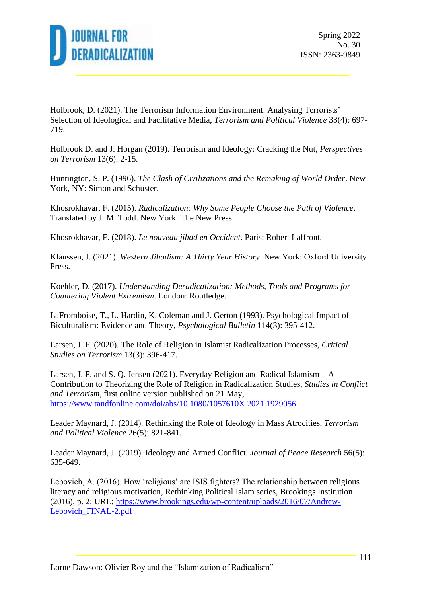

Holbrook, D. (2021). The Terrorism Information Environment: Analysing Terrorists' Selection of Ideological and Facilitative Media, *Terrorism and Political Violence* 33(4): 697- 719.

Holbrook D. and J. Horgan (2019). Terrorism and Ideology: Cracking the Nut, *Perspectives on Terrorism* 13(6): 2-15.

Huntington, S. P. (1996). *The Clash of Civilizations and the Remaking of World Order*. New York, NY: Simon and Schuster.

Khosrokhavar, F. (2015). *Radicalization: Why Some People Choose the Path of Violence*. Translated by J. M. Todd. New York: The New Press.

Khosrokhavar, F. (2018). *Le nouveau jihad en Occident*. Paris: Robert Laffront.

Klaussen, J. (2021). *Western Jihadism: A Thirty Year History*. New York: Oxford University Press.

Koehler, D. (2017). *Understanding Deradicalization: Methods, Tools and Programs for Countering Violent Extremism*. London: Routledge.

LaFromboise, T., L. Hardin, K. Coleman and J. Gerton (1993). Psychological Impact of Biculturalism: Evidence and Theory, *Psychological Bulletin* 114(3): 395-412.

Larsen, J. F. (2020). The Role of Religion in Islamist Radicalization Processes, *Critical Studies on Terrorism* 13(3): 396-417.

Larsen, J. F. and S. Q. Jensen (2021). Everyday Religion and Radical Islamism – A Contribution to Theorizing the Role of Religion in Radicalization Studies, *Studies in Conflict and Terrorism*, first online version published on 21 May, <https://www.tandfonline.com/doi/abs/10.1080/1057610X.2021.1929056>

Leader Maynard, J. (2014). Rethinking the Role of Ideology in Mass Atrocities, *Terrorism and Political Violence* 26(5): 821-841.

Leader Maynard, J. (2019). Ideology and Armed Conflict. *Journal of Peace Research* 56(5): 635-649.

Lebovich, A. (2016). How 'religious' are ISIS fighters? The relationship between religious literacy and religious motivation, Rethinking Political Islam series, Brookings Institution (2016), p. 2; URL: [https://www.brookings.edu/wp-content/uploads/2016/07/Andrew-](https://www.brookings.edu/wp-content/uploads/2016/07/Andrew-Lebovich_FINAL-2.pdf)[Lebovich\\_FINAL-2.pdf](https://www.brookings.edu/wp-content/uploads/2016/07/Andrew-Lebovich_FINAL-2.pdf)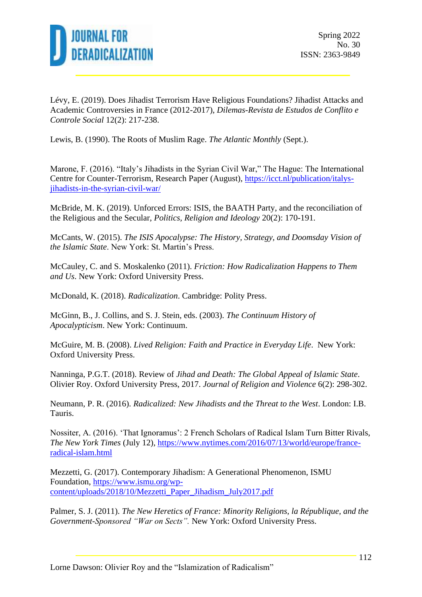

Lévy, E. (2019). Does Jihadist Terrorism Have Religious Foundations? Jihadist Attacks and Academic Controversies in France (2012-2017), *Dilemas-Revista de Estudos de Conflito e Controle Social* 12(2): 217-238.

Lewis, B. (1990). The Roots of Muslim Rage. *The Atlantic Monthly* (Sept.).

Marone, F. (2016). "Italy's Jihadists in the Syrian Civil War," The Hague: The International Centre for Counter-Terrorism, Research Paper (August), [https://icct.nl/publication/italys](https://icct.nl/publication/italys-jihadists-in-the-syrian-civil-war/)[jihadists-in-the-syrian-civil-war/](https://icct.nl/publication/italys-jihadists-in-the-syrian-civil-war/)

McBride, M. K. (2019). Unforced Errors: ISIS, the BAATH Party, and the reconciliation of the Religious and the Secular, *Politics, Religion and Ideology* 20(2): 170-191.

McCants, W. (2015). *The ISIS Apocalypse: The History, Strategy, and Doomsday Vision of the Islamic State*. New York: St. Martin's Press.

McCauley, C. and S. Moskalenko (2011). *Friction: How Radicalization Happens to Them and Us*. New York: Oxford University Press.

McDonald, K. (2018). *Radicalization*. Cambridge: Polity Press.

McGinn, B., J. Collins, and S. J. Stein, eds. (2003). *The Continuum History of Apocalypticism*. New York: Continuum.

McGuire, M. B. (2008). *Lived Religion: Faith and Practice in Everyday Life*. New York: Oxford University Press.

Nanninga, P.G.T. (2018). Review of *Jihad and Death: The Global Appeal of Islamic State*. Olivier Roy. Oxford University Press, 2017. *Journal of Religion and Violence* 6(2): 298-302.

Neumann, P. R. (2016). *Radicalized: New Jihadists and the Threat to the West*. London: I.B. Tauris.

Nossiter, A. (2016). 'That Ignoramus': 2 French Scholars of Radical Islam Turn Bitter Rivals, *The New York Times* (July 12), [https://www.nytimes.com/2016/07/13/world/europe/france](https://www.nytimes.com/2016/07/13/world/europe/france-radical-islam.html)[radical-islam.html](https://www.nytimes.com/2016/07/13/world/europe/france-radical-islam.html)

Mezzetti, G. (2017). Contemporary Jihadism: A Generational Phenomenon, ISMU Foundation, [https://www.ismu.org/wp](https://www.ismu.org/wp-content/uploads/2018/10/Mezzetti_Paper_Jihadism_July2017.pdf)[content/uploads/2018/10/Mezzetti\\_Paper\\_Jihadism\\_July2017.pdf](https://www.ismu.org/wp-content/uploads/2018/10/Mezzetti_Paper_Jihadism_July2017.pdf)

Palmer, S. J. (2011). *The New Heretics of France: Minority Religions, la République, and the Government-Sponsored "War on Sects".* New York: Oxford University Press.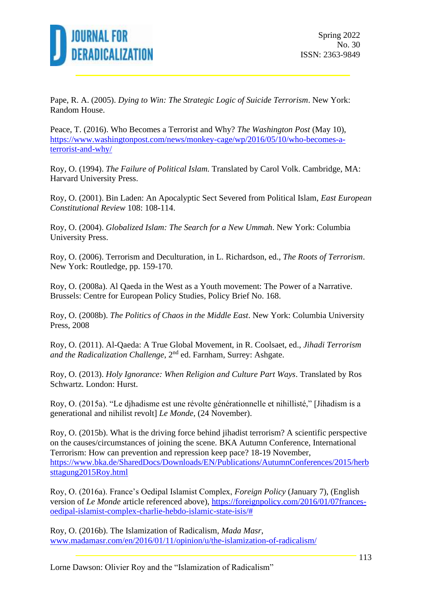

Pape, R. A. (2005). *Dying to Win: The Strategic Logic of Suicide Terrorism*. New York: Random House.

Peace, T. (2016). Who Becomes a Terrorist and Why? *The Washington Post* (May 10), [https://www.washingtonpost.com/news/monkey-cage/wp/2016/05/10/who-becomes-a](https://www.washingtonpost.com/news/monkey-cage/wp/2016/05/10/who-becomes-a-terrorist-and-why/)[terrorist-and-why/](https://www.washingtonpost.com/news/monkey-cage/wp/2016/05/10/who-becomes-a-terrorist-and-why/)

Roy, O. (1994). *The Failure of Political Islam.* Translated by Carol Volk. Cambridge, MA: Harvard University Press.

Roy, O. (2001). Bin Laden: An Apocalyptic Sect Severed from Political Islam, *East European Constitutional Review* 108: 108-114.

Roy, O. (2004). *Globalized Islam: The Search for a New Ummah*. New York: Columbia University Press.

Roy, O. (2006). Terrorism and Deculturation, in L. Richardson, ed., *The Roots of Terrorism*. New York: Routledge, pp. 159-170.

Roy, O. (2008a). Al Qaeda in the West as a Youth movement: The Power of a Narrative. Brussels: Centre for European Policy Studies, Policy Brief No. 168.

Roy, O. (2008b). *The Politics of Chaos in the Middle East*. New York: Columbia University Press, 2008

Roy, O. (2011). Al-Qaeda: A True Global Movement, in R. Coolsaet, ed., *Jihadi Terrorism*  and the Radicalization Challenge, 2<sup>nd</sup> ed. Farnham, Surrey: Ashgate.

Roy, O. (2013). *Holy Ignorance: When Religion and Culture Part Ways*. Translated by Ros Schwartz. London: Hurst.

Roy, O. (2015a). "Le djhadisme est une révolte générationnelle et nihillisté," [Jihadism is a generational and nihilist revolt] *Le Monde*, (24 November).

Roy, O. (2015b). What is the driving force behind jihadist terrorism? A scientific perspective on the causes/circumstances of joining the scene. BKA Autumn Conference, International Terrorism: How can prevention and repression keep pace? 18-19 November, [https://www.bka.de/SharedDocs/Downloads/EN/Publications/AutumnConferences/2015/herb](https://www.bka.de/SharedDocs/Downloads/EN/Publications/AutumnConferences/2015/herbsttagung2015Roy.html) [sttagung2015Roy.html](https://www.bka.de/SharedDocs/Downloads/EN/Publications/AutumnConferences/2015/herbsttagung2015Roy.html)

Roy, O. (2016a). France's Oedipal Islamist Complex, *Foreign Policy* (January 7), (English version of *Le Monde* article referenced above), [https://foreignpolicy.com/2016/01/07frances](https://foreignpolicy.com/2016/01/07frances-oedipal-islamist-complex-charlie-hebdo-islamic-state-isis/)[oedipal-islamist-complex-charlie-hebdo-islamic-state-isis/#](https://foreignpolicy.com/2016/01/07frances-oedipal-islamist-complex-charlie-hebdo-islamic-state-isis/)

Roy, O. (2016b). The Islamization of Radicalism, *Mada Masr*, [www.madamasr.com/en/2016/01/11/opinion/u/the-islamization-of-radicalism/](http://www.madamasr.com/en/2016/01/11/opinion/u/the-islamization-of-radicalism/)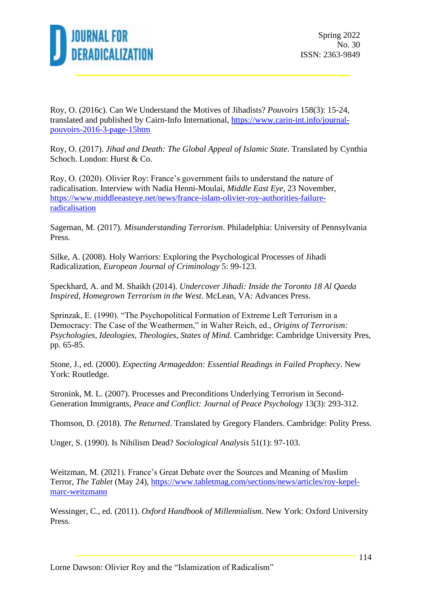

Roy, O. (2016c). Can We Understand the Motives of Jihadists? *Pouvoirs* 158(3): 15-24, translated and published by Cairn-Info International, [https://www.carin-int.info/journal](https://www.carin-int.info/journal-pouvoirs-2016-3-page-15htm)[pouvoirs-2016-3-page-15htm](https://www.carin-int.info/journal-pouvoirs-2016-3-page-15htm)

Roy, O. (2017). *Jihad and Death: The Global Appeal of Islamic State*. Translated by Cynthia Schoch. London: Hurst & Co.

Roy, O. (2020). Olivier Roy: France's government fails to understand the nature of radicalisation. Interview with Nadia Henni-Moulai, *Middle East Eye*, 23 November, [https://www.middleeasteye.net/news/france-islam-olivier-roy-authorities-failure](https://www.middleeasteye.net/news/france-islam-olivier-roy-authorities-failure-radicalisation)[radicalisation](https://www.middleeasteye.net/news/france-islam-olivier-roy-authorities-failure-radicalisation)

Sageman, M. (2017). *Misunderstanding Terrorism*. Philadelphia: University of Pennsylvania Press.

Silke, A. (2008). Holy Warriors: Exploring the Psychological Processes of Jihadi Radicalization, *European Journal of Criminology* 5: 99-123.

Speckhard, A. and M. Shaikh (2014). *Undercover Jihadi: Inside the Toronto 18 Al Qaeda Inspired, Homegrown Terrorism in the West*. McLean, VA: Advances Press.

Sprinzak, E. (1990). "The Psychopolitical Formation of Extreme Left Terrorism in a Democracy: The Case of the Weathermen," in Walter Reich, ed., *Origins of Terrorism: Psychologies, Ideologies, Theologies, States of Mind.* Cambridge: Cambridge University Pres, pp. 65-85.

Stone, J., ed. (2000). *Expecting Armageddon: Essential Readings in Failed Prophecy*. New York: Routledge.

Stronink, M. L. (2007). Processes and Preconditions Underlying Terrorism in Second-Generation Immigrants, *Peace and Conflict: Journal of Peace Psychology* 13(3): 293-312.

Thomson, D. (2018). *The Returned*. Translated by Gregory Flanders. Cambridge: Polity Press.

Unger, S. (1990). Is Nihilism Dead? *Sociological Analysis* 51(1): 97-103.

Weitzman, M. (2021). France's Great Debate over the Sources and Meaning of Muslim Terror, *The Tablet* (May 24), [https://www.tabletmag.com/sections/news/articles/roy-kepel](https://www.tabletmag.com/sections/news/articles/roy-kepel-marc-weitzmann)[marc-weitzmann](https://www.tabletmag.com/sections/news/articles/roy-kepel-marc-weitzmann)

Wessinger, C., ed. (2011). *Oxford Handbook of Millennialism*. New York: Oxford University Press.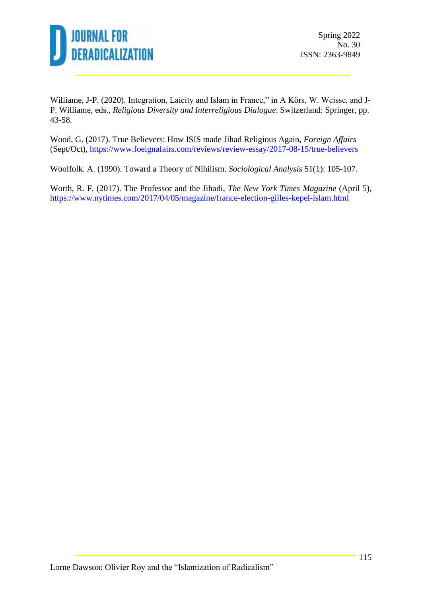

Williame, J-P. (2020). Integration, Laicity and Islam in France," in A Körs, W. Weisse, and J-P. Williame, eds., *Religious Diversity and Interreligious Dialogue*. Switzerland: Springer, pp. 43-58.

Wood, G. (2017). True Believers: How ISIS made Jihad Religious Again, *Foreign Affairs* (Sept/Oct),<https://www.foeignafairs.com/reviews/review-essay/2017-08-15/true-believers>

Woolfolk. A. (1990). Toward a Theory of Nihilism. *Sociological Analysis* 51(1): 105-107.

Worth, R. F. (2017). The Professor and the Jihadi, *The New York Times Magazine* (April 5), <https://www.nytimes.com/2017/04/05/magazine/france-election-gilles-kepel-islam.html>